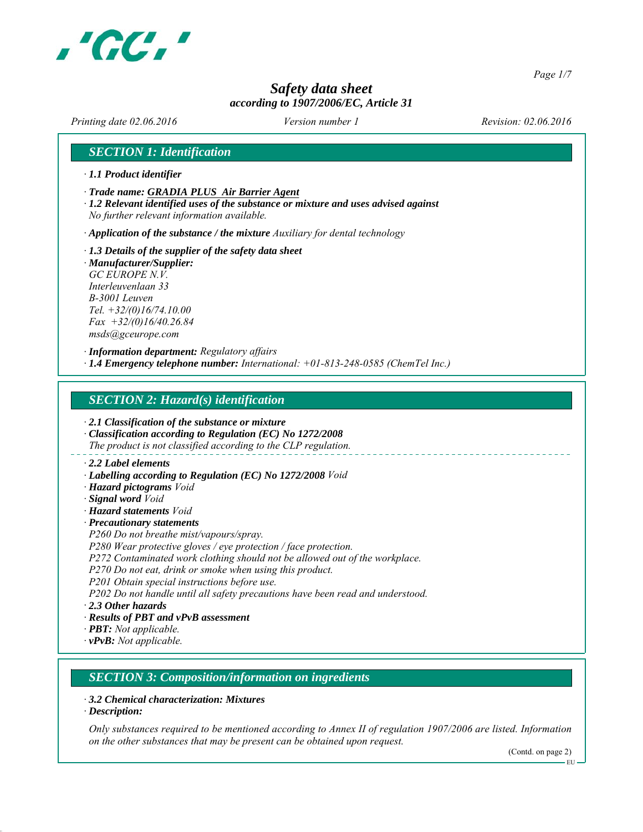

*Page 1/7*

### *Safety data sheet according to 1907/2006/EC, Article 31*

*Printing date 02.06.2016 Revision: 02.06.2016 Version number 1*

#### *SECTION 1: Identification*

- *∙ 1.1 Product identifier*
- *∙ Trade name: GRADIA PLUS Air Barrier Agent*
- *∙ 1.2 Relevant identified uses of the substance or mixture and uses advised against No further relevant information available.*
- *∙ Application of the substance / the mixture Auxiliary for dental technology*
- *∙ 1.3 Details of the supplier of the safety data sheet*
- *∙ Manufacturer/Supplier: GC EUROPE N.V. Interleuvenlaan 33 B-3001 Leuven Tel. +32/(0)16/74.10.00 Fax +32/(0)16/40.26.84 msds@gceurope.com*

*∙ Information department: Regulatory affairs ∙ 1.4 Emergency telephone number: International: +01-813-248-0585 (ChemTel Inc.)*

#### *SECTION 2: Hazard(s) identification*

*∙ 2.1 Classification of the substance or mixture*

- *∙ Classification according to Regulation (EC) No 1272/2008 The product is not classified according to the CLP regulation.*
- 
- *∙ 2.2 Label elements*
- *∙ Labelling according to Regulation (EC) No 1272/2008 Void*
- *∙ Hazard pictograms Void*
- *∙ Signal word Void*
- *∙ Hazard statements Void*
- *∙ Precautionary statements*
- *P260 Do not breathe mist/vapours/spray.*
- *P280 Wear protective gloves / eye protection / face protection.*
- *P272 Contaminated work clothing should not be allowed out of the workplace.*
- *P270 Do not eat, drink or smoke when using this product.*
- *P201 Obtain special instructions before use.*

*P202 Do not handle until all safety precautions have been read and understood.*

*∙ 2.3 Other hazards*

- *∙ Results of PBT and vPvB assessment*
- *∙ PBT: Not applicable.*
- *∙ vPvB: Not applicable.*

#### *SECTION 3: Composition/information on ingredients*

*∙ 3.2 Chemical characterization: Mixtures*

*∙ Description:*

*Only substances required to be mentioned according to Annex II of regulation 1907/2006 are listed. Information on the other substances that may be present can be obtained upon request.*

(Contd. on page 2)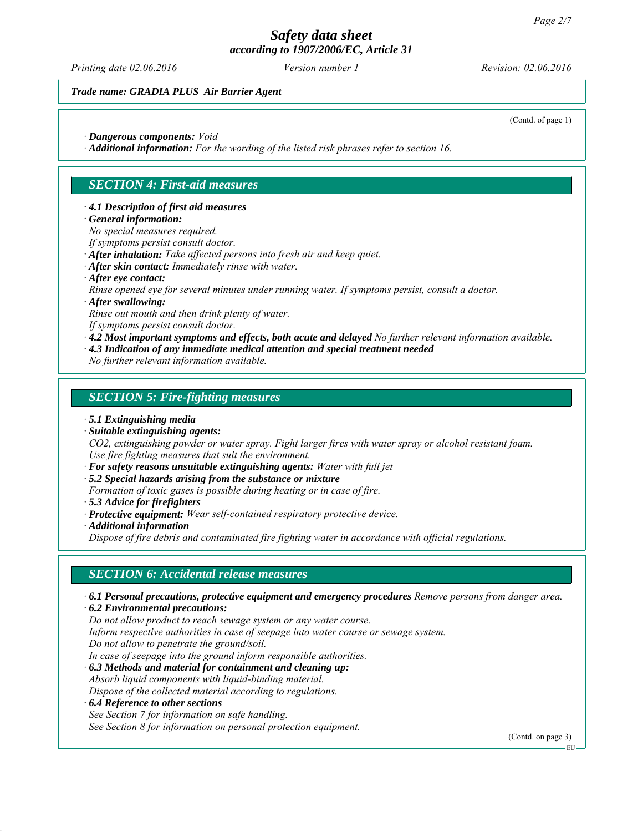*Printing date 02.06.2016 Revision: 02.06.2016 Version number 1*

#### *Trade name: GRADIA PLUS Air Barrier Agent*

(Contd. of page 1)

- *∙ Dangerous components: Void*
- *∙ Additional information: For the wording of the listed risk phrases refer to section 16.*

#### *SECTION 4: First-aid measures*

#### *∙ 4.1 Description of first aid measures*

*∙ General information:*

*No special measures required.*

- *If symptoms persist consult doctor.*
- *∙ After inhalation: Take affected persons into fresh air and keep quiet.*
- *∙ After skin contact: Immediately rinse with water.*
- *∙ After eye contact:*
- *Rinse opened eye for several minutes under running water. If symptoms persist, consult a doctor.*
- *∙ After swallowing:*
- *Rinse out mouth and then drink plenty of water.*
- *If symptoms persist consult doctor.*
- *∙ 4.2 Most important symptoms and effects, both acute and delayed No further relevant information available.*
- *∙ 4.3 Indication of any immediate medical attention and special treatment needed*
- *No further relevant information available.*

#### *SECTION 5: Fire-fighting measures*

- *∙ 5.1 Extinguishing media*
- *∙ Suitable extinguishing agents:*

*CO2, extinguishing powder or water spray. Fight larger fires with water spray or alcohol resistant foam. Use fire fighting measures that suit the environment.*

- *∙ For safety reasons unsuitable extinguishing agents: Water with full jet*
- *∙ 5.2 Special hazards arising from the substance or mixture*

*Formation of toxic gases is possible during heating or in case of fire.*

- *∙ 5.3 Advice for firefighters*
- *∙ Protective equipment: Wear self-contained respiratory protective device.*
- *∙ Additional information*

*Dispose of fire debris and contaminated fire fighting water in accordance with official regulations.*

#### *SECTION 6: Accidental release measures*

*∙ 6.1 Personal precautions, protective equipment and emergency procedures Remove persons from danger area.*

*∙ 6.2 Environmental precautions:*

*Do not allow product to reach sewage system or any water course.*

*Inform respective authorities in case of seepage into water course or sewage system.*

*Do not allow to penetrate the ground/soil.*

*In case of seepage into the ground inform responsible authorities.*

*∙ 6.3 Methods and material for containment and cleaning up:*

*Absorb liquid components with liquid-binding material.*

- *Dispose of the collected material according to regulations.*
- *∙ 6.4 Reference to other sections*

*See Section 7 for information on safe handling.*

*See Section 8 for information on personal protection equipment.*

(Contd. on page 3)

EU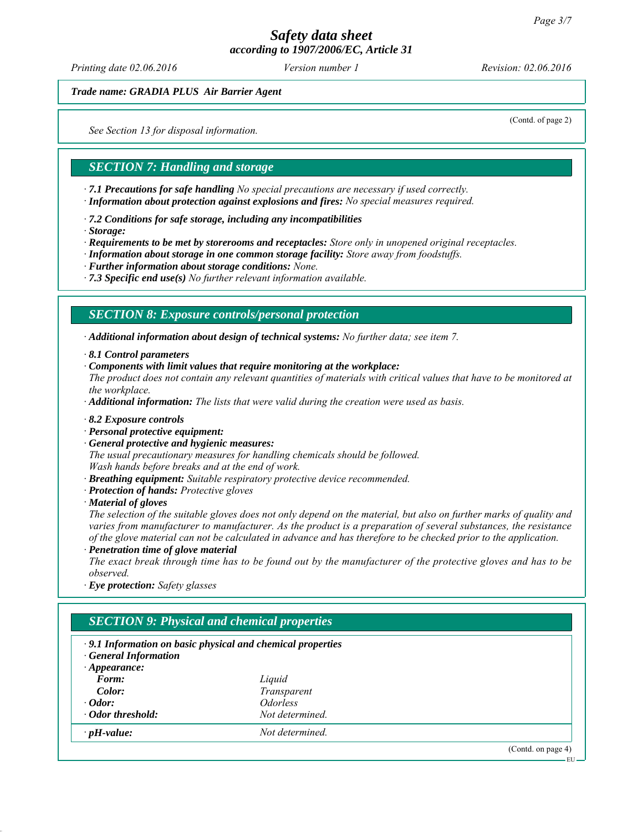*Printing date 02.06.2016 Revision: 02.06.2016 Version number 1*

*Trade name: GRADIA PLUS Air Barrier Agent*

*See Section 13 for disposal information.*

(Contd. of page 2)

#### *SECTION 7: Handling and storage*

*∙ 7.1 Precautions for safe handling No special precautions are necessary if used correctly. ∙ Information about protection against explosions and fires: No special measures required.*

*∙ 7.2 Conditions for safe storage, including any incompatibilities*

*∙ Storage:*

*∙ Requirements to be met by storerooms and receptacles: Store only in unopened original receptacles.*

- *∙ Information about storage in one common storage facility: Store away from foodstuffs.*
- *∙ Further information about storage conditions: None.*

*∙ 7.3 Specific end use(s) No further relevant information available.*

#### *SECTION 8: Exposure controls/personal protection*

*∙ Additional information about design of technical systems: No further data; see item 7.*

*∙ 8.1 Control parameters*

*∙ Components with limit values that require monitoring at the workplace:*

*The product does not contain any relevant quantities of materials with critical values that have to be monitored at the workplace.*

*∙ Additional information: The lists that were valid during the creation were used as basis.*

- *∙ 8.2 Exposure controls*
- *∙ Personal protective equipment:*
- *∙ General protective and hygienic measures:*

*The usual precautionary measures for handling chemicals should be followed. Wash hands before breaks and at the end of work.*

- *∙ Breathing equipment: Suitable respiratory protective device recommended.*
- *∙ Protection of hands: Protective gloves*
- *∙ Material of gloves*

*The selection of the suitable gloves does not only depend on the material, but also on further marks of quality and varies from manufacturer to manufacturer. As the product is a preparation of several substances, the resistance of the glove material can not be calculated in advance and has therefore to be checked prior to the application.*

*∙ Penetration time of glove material*

*The exact break through time has to be found out by the manufacturer of the protective gloves and has to be observed.*

*∙ Eye protection: Safety glasses*

| $\cdot$ 9.1 Information on basic physical and chemical properties<br><b>General Information</b> |                               |  |  |  |
|-------------------------------------------------------------------------------------------------|-------------------------------|--|--|--|
| $\cdot$ Appearance:                                                                             |                               |  |  |  |
| Form:                                                                                           | Liquid                        |  |  |  |
| Color:                                                                                          | Transparent                   |  |  |  |
| $\cdot$ Odor:                                                                                   | <i><u><b>Odorless</b></u></i> |  |  |  |
| · Odor threshold:                                                                               | Not determined.               |  |  |  |
| $\cdot$ pH-value:                                                                               | Not determined.               |  |  |  |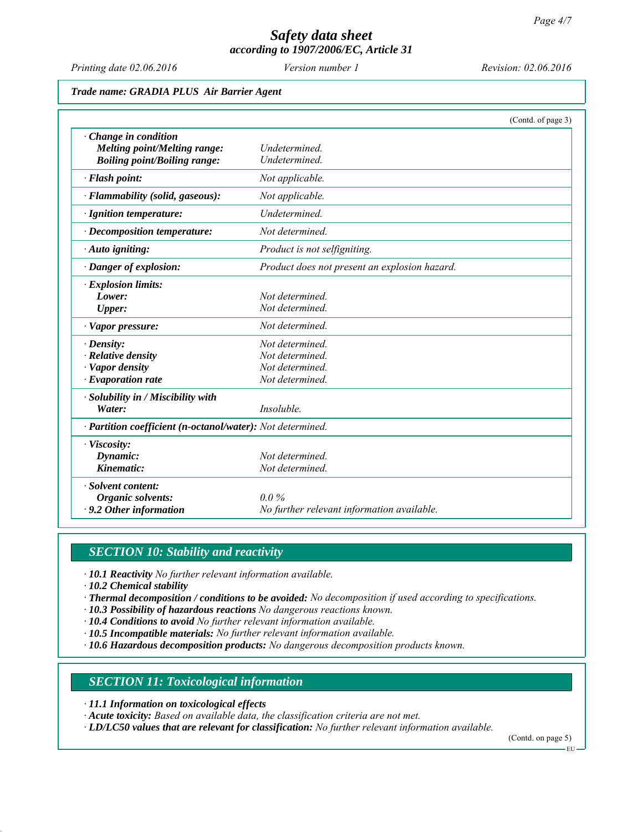*Printing date 02.06.2016 Revision: 02.06.2016 Version number 1*

#### *Trade name: GRADIA PLUS Air Barrier Agent*

|                                                                                              | (Contd. of page 3)                                                       |
|----------------------------------------------------------------------------------------------|--------------------------------------------------------------------------|
| · Change in condition<br>Melting point/Melting range:<br><b>Boiling point/Boiling range:</b> | <b>Undetermined</b><br>Undetermined.                                     |
| · Flash point:                                                                               | Not applicable.                                                          |
| · Flammability (solid, gaseous):                                                             | Not applicable.                                                          |
| · Ignition temperature:                                                                      | Undetermined.                                                            |
| $\cdot$ Decomposition temperature:                                                           | Not determined.                                                          |
| · Auto igniting:                                                                             | Product is not selfigniting.                                             |
| · Danger of explosion:                                                                       | Product does not present an explosion hazard.                            |
| · Explosion limits:<br>Lower:<br><b>Upper:</b>                                               | Not determined<br>Not determined.                                        |
| · Vapor pressure:                                                                            | Not determined.                                                          |
| $\cdot$ Density:<br>$\cdot$ Relative density<br>· Vapor density<br>$\cdot$ Evaporation rate  | Not determined.<br>Not determined.<br>Not determined.<br>Not determined. |
| · Solubility in / Miscibility with<br>Water:                                                 | Insoluble.                                                               |
| · Partition coefficient (n-octanol/water): Not determined.                                   |                                                                          |
| · Viscosity:<br>Dynamic:<br>Kinematic:                                                       | Not determined.<br>Not determined.                                       |
| · Solvent content:<br>Organic solvents:<br>$\cdot$ 9.2 Other information                     | $0.0\%$<br>No further relevant information available.                    |

#### *SECTION 10: Stability and reactivity*

*∙ 10.1 Reactivity No further relevant information available.*

*∙ 10.2 Chemical stability*

- *∙ Thermal decomposition / conditions to be avoided: No decomposition if used according to specifications.*
- *∙ 10.3 Possibility of hazardous reactions No dangerous reactions known.*
- *∙ 10.4 Conditions to avoid No further relevant information available.*
- *∙ 10.5 Incompatible materials: No further relevant information available.*
- *∙ 10.6 Hazardous decomposition products: No dangerous decomposition products known.*

*SECTION 11: Toxicological information*

*∙ 11.1 Information on toxicological effects*

*∙ Acute toxicity: Based on available data, the classification criteria are not met.*

*∙ LD/LC50 values that are relevant for classification: No further relevant information available.*

(Contd. on page 5)

EU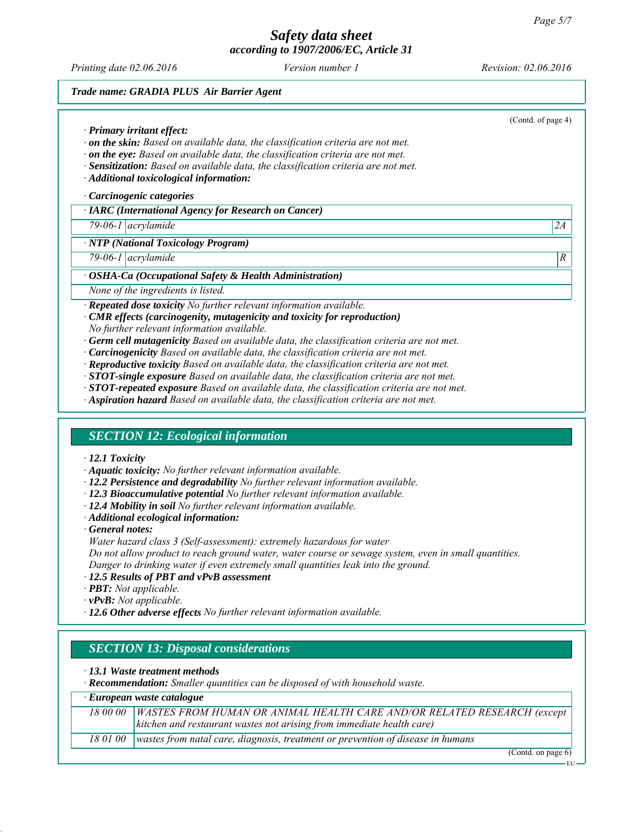*Printing date 02.06.2016 Revision: 02.06.2016 Version number 1*

#### *Trade name: GRADIA PLUS Air Barrier Agent*

(Contd. of page 4) *∙ Primary irritant effect: ∙ on the skin: Based on available data, the classification criteria are not met. ∙ on the eye: Based on available data, the classification criteria are not met. ∙ Sensitization: Based on available data, the classification criteria are not met. ∙ Additional toxicological information: ∙ Carcinogenic categories ∙ IARC (International Agency for Research on Cancer) 79-06-1 acrylamide 2A ∙ NTP (National Toxicology Program) 79-06-1 acrylamide R ∙ OSHA-Ca (Occupational Safety & Health Administration) None of the ingredients is listed. ∙ Repeated dose toxicity No further relevant information available. ∙ CMR effects (carcinogenity, mutagenicity and toxicity for reproduction) No further relevant information available. ∙ Germ cell mutagenicity Based on available data, the classification criteria are not met. ∙ Carcinogenicity Based on available data, the classification criteria are not met. ∙ Reproductive toxicity Based on available data, the classification criteria are not met. ∙ STOT-single exposure Based on available data, the classification criteria are not met. ∙ STOT-repeated exposure Based on available data, the classification criteria are not met. ∙ Aspiration hazard Based on available data, the classification criteria are not met. SECTION 12: Ecological information ∙ 12.1 Toxicity ∙ Aquatic toxicity: No further relevant information available. ∙ 12.2 Persistence and degradability No further relevant information available. ∙ 12.3 Bioaccumulative potential No further relevant information available. ∙ 12.4 Mobility in soil No further relevant information available. ∙ Additional ecological information: ∙ General notes: Water hazard class 3 (Self-assessment): extremely hazardous for water Do not allow product to reach ground water, water course or sewage system, even in small quantities. Danger to drinking water if even extremely small quantities leak into the ground. ∙ 12.5 Results of PBT and vPvB assessment ∙ PBT: Not applicable. ∙ vPvB: Not applicable. ∙ 12.6 Other adverse effects No further relevant information available. SECTION 13: Disposal considerations ∙ 13.1 Waste treatment methods ∙ Recommendation: Smaller quantities can be disposed of with household waste. ∙ European waste catalogue 18 00 00 WASTES FROM HUMAN OR ANIMAL HEALTH CARE AND/OR RELATED RESEARCH (except kitchen and restaurant wastes not arising from immediate health care) 18 01 00 wastes from natal care, diagnosis, treatment or prevention of disease in humans* (Contd. on page 6)

EU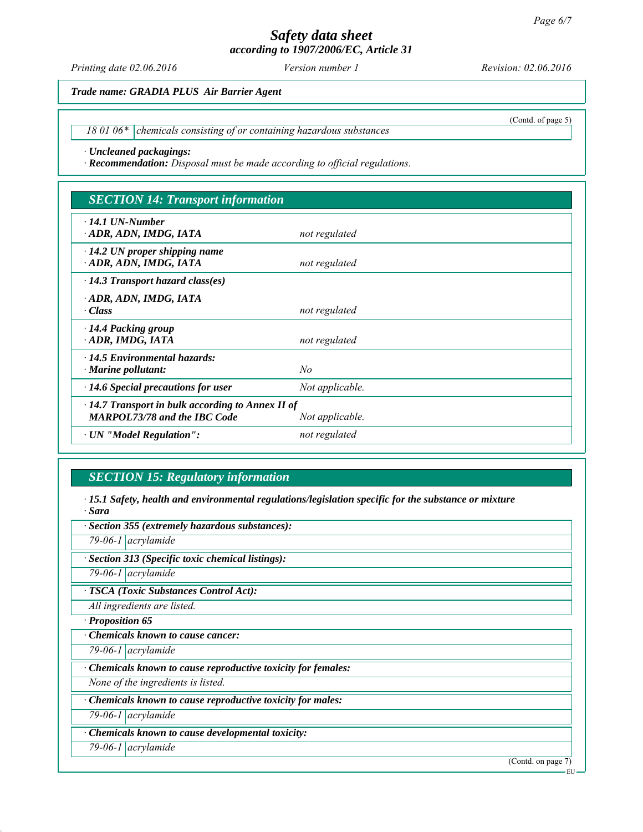*Printing date 02.06.2016 Revision: 02.06.2016 Version number 1*

(Contd. of page 5)

*Trade name: GRADIA PLUS Air Barrier Agent*

18 01 06\* chemicals consisting of or containing hazardous substances

*∙ Uncleaned packagings:*

*∙ Recommendation: Disposal must be made according to official regulations.*

## *SECTION 14: Transport information*

| $\cdot$ 14.1 UN-Number<br>ADR, ADN, IMDG, IATA                                                                    | not regulated   |  |
|-------------------------------------------------------------------------------------------------------------------|-----------------|--|
| $\cdot$ 14.2 UN proper shipping name<br>ADR, ADN, IMDG, IATA                                                      | not regulated   |  |
| $\cdot$ 14.3 Transport hazard class(es)                                                                           |                 |  |
| ADR, ADN, IMDG, IATA<br>· Class                                                                                   | not regulated   |  |
| $\cdot$ 14.4 Packing group<br>ADR, IMDG, IATA                                                                     | not regulated   |  |
| $\cdot$ 14.5 Environmental hazards:<br>$\cdot$ Marine pollutant:                                                  | No              |  |
| $\cdot$ 14.6 Special precautions for user                                                                         | Not applicable. |  |
| $\cdot$ 14.7 Transport in bulk according to Annex II of<br><b>MARPOL73/78 and the IBC Code</b><br>Not applicable. |                 |  |
| · UN "Model Regulation":                                                                                          | not regulated   |  |

# *SECTION 15: Regulatory information*

*∙ 15.1 Safety, health and environmental regulations/legislation specific for the substance or mixture ∙ Sara*

| · Section 355 (extremely hazardous substances):             |                    |
|-------------------------------------------------------------|--------------------|
| 79-06-1 $\vert$ acrylamide                                  |                    |
| · Section 313 (Specific toxic chemical listings):           |                    |
| 79-06-1 $ acry$ lamide                                      |                    |
| · TSCA (Toxic Substances Control Act):                      |                    |
| All ingredients are listed.                                 |                    |
| · Proposition 65                                            |                    |
| Chemicals known to cause cancer:                            |                    |
| 79-06-1 $\vert$ acrylamide                                  |                    |
| Chemicals known to cause reproductive toxicity for females: |                    |
| None of the ingredients is listed.                          |                    |
| Chemicals known to cause reproductive toxicity for males:   |                    |
| 79-06-1 $\alpha$ acrylamide                                 |                    |
| · Chemicals known to cause developmental toxicity:          |                    |
| 79-06-1 $\alpha$ acrylamide                                 |                    |
|                                                             | (Contd. on page 7) |